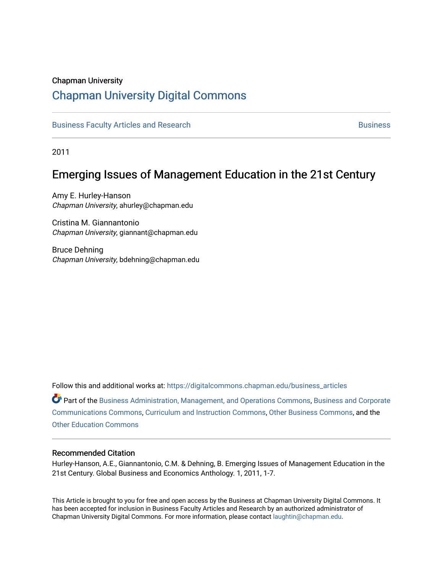### Chapman University

# [Chapman University Digital Commons](https://digitalcommons.chapman.edu/)

[Business Faculty Articles and Research](https://digitalcommons.chapman.edu/business_articles) [Business](https://digitalcommons.chapman.edu/business) **Business** Business

2011

# Emerging Issues of Management Education in the 21st Century

Amy E. Hurley-Hanson Chapman University, ahurley@chapman.edu

Cristina M. Giannantonio Chapman University, giannant@chapman.edu

Bruce Dehning Chapman University, bdehning@chapman.edu

Follow this and additional works at: [https://digitalcommons.chapman.edu/business\\_articles](https://digitalcommons.chapman.edu/business_articles?utm_source=digitalcommons.chapman.edu%2Fbusiness_articles%2F41&utm_medium=PDF&utm_campaign=PDFCoverPages) 

Part of the [Business Administration, Management, and Operations Commons](http://network.bepress.com/hgg/discipline/623?utm_source=digitalcommons.chapman.edu%2Fbusiness_articles%2F41&utm_medium=PDF&utm_campaign=PDFCoverPages), [Business and Corporate](http://network.bepress.com/hgg/discipline/627?utm_source=digitalcommons.chapman.edu%2Fbusiness_articles%2F41&utm_medium=PDF&utm_campaign=PDFCoverPages)  [Communications Commons,](http://network.bepress.com/hgg/discipline/627?utm_source=digitalcommons.chapman.edu%2Fbusiness_articles%2F41&utm_medium=PDF&utm_campaign=PDFCoverPages) [Curriculum and Instruction Commons](http://network.bepress.com/hgg/discipline/786?utm_source=digitalcommons.chapman.edu%2Fbusiness_articles%2F41&utm_medium=PDF&utm_campaign=PDFCoverPages), [Other Business Commons,](http://network.bepress.com/hgg/discipline/647?utm_source=digitalcommons.chapman.edu%2Fbusiness_articles%2F41&utm_medium=PDF&utm_campaign=PDFCoverPages) and the [Other Education Commons](http://network.bepress.com/hgg/discipline/811?utm_source=digitalcommons.chapman.edu%2Fbusiness_articles%2F41&utm_medium=PDF&utm_campaign=PDFCoverPages) 

### Recommended Citation

Hurley-Hanson, A.E., Giannantonio, C.M. & Dehning, B. Emerging Issues of Management Education in the 21st Century. Global Business and Economics Anthology. 1, 2011, 1-7.

This Article is brought to you for free and open access by the Business at Chapman University Digital Commons. It has been accepted for inclusion in Business Faculty Articles and Research by an authorized administrator of Chapman University Digital Commons. For more information, please contact [laughtin@chapman.edu](mailto:laughtin@chapman.edu).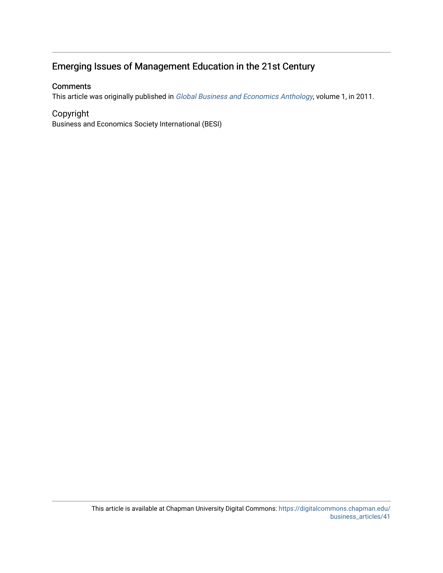# Emerging Issues of Management Education in the 21st Century

### **Comments**

This article was originally published in [Global Business and Economics Anthology](http://besiweb.alphaip.com/wp-content/uploads/2014/12/Anthology.pdf), volume 1, in 2011.

## Copyright

Business and Economics Society International (BESI)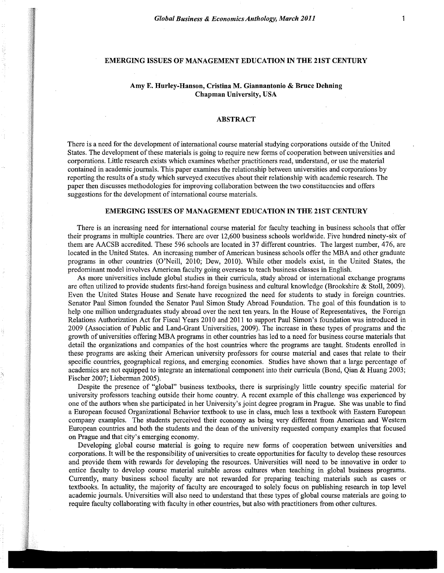#### EMERGING ISSUES OF MANAGEMENT EDUCATION IN THE 21ST CENTURY

#### Amy E. Hurley-Hanson, Cristina M. Giannantonio & Bruce Dehning Chapman University, USA

I

I I I

~ **I INSTALACIÓN** 11 I  $\frac{4}{3}$ i<br>inter ~~ iksimaan<br>... ~ *\_gt* •

 g¥- <sup>~</sup> --1 -~ ~1 j<br>Jereo George :1 *. w.*  £ ~ '~ -ff -I *zy*  ti %i \_I l'f t *1"±*  ! -~ *JJ* -;s *ii*  -, animist

'1

% ~ *ii*  ] 31 :\_j :-1 ~1 -; in the company of the company of the company of the company of the company of the company of the company of the company of the company of the company of the company of the company of the company of the company of the compa ~ j /Ii in Maria Links<br>1980 - Paris Bandaría (b. 1980)<br>1980 - Paris Bandaría (b. 1980) ~ l l "' i ~ ·~ i ;! ,f J i

#### ABSTRACT

There is a need for the development of international course material studying corporations outside of the United States. The development of these materials is going to require new forms of cooperation between universities and corporations. Little research exists which examines whether practitioners read, understand, or use the material contained in academic journals. This paper examines the relationship between universities and corporations by reporting the results of a study which surveyed executives about their relationship with academic research. The paper then discusses methodologies for improving collaboration between the two constituencies and offers suggestions for the development of international course materials.

#### EMERGING ISSUES OF MANAGEMENT EDUCATION IN THE 21ST CENTURY

There is an increasing need for international course material for faculty teaching in business schools that offer their programs in multiple countries. There are over 12,600 business schools worldwide. Five hundred ninety-six of them are AACSB accredited. These 596 schools are located in 37 different countries. The largest number, 476, are located in the United States. An increasing number of American business schools offer the MBA and other graduate programs in other countries (O'Neill, 2010; Dew, 2010). While other models exist, in the United States, the predominant model involves American faculty going overseas to teach business classes in English .

As more universities include global studies in their curricula, study abroad or international exchange programs are often utilized to provide students first-hand foreign business and cultural knowledge (Brookshire & Stoll, 2009). Even the United States House and Senate have recognized the need for students to study in foreign countries. Senator Paul Simon founded the Senator Paul Simon Study Abroad Foundation. The goal of this foundation is to help one million undergraduates study abroad over the next ten years. In the House of Representatives, the Foreign Relations Authorization Act for Fiscal Years 2010 and 2011 to support Paul Simon's foundation was introduced in 2009 (Association of Public and Land-Grant Universities, 2009). The increase in these types of programs and the growth of universities offering MBA programs in other countries has led to a need for business course materials that detail the organizations and companies of the host countries where the programs are taught. Students enrolled in these programs are asking their American university professors for course material and cases that relate to their specific countries, geographical regions, and emerging economies. Studies have shown that a large percentage of academics are not equipped to integrate an international component into their curricula (Bond, Qian & Huang 2003; Fischer 2007; Lieberman 2005).

Despite the presence of "global" business textbooks, there is surprisingly little country specific material for university professors teaching outside their home country. A recent example of this challenge was experienced by one of the authors when she participated in her University's joint degree program in Prague. She was unable to find a European focused Organizational Behavior textbook to use in class, much less a textbook with Eastern European company examples. The students perceived their economy as being very different from American and Western European countries and both the students and the dean of the university requested company examples that focused on Prague and that city's emerging economy.

Developing global course material is going to require new forms of cooperation between universities and corporations. It will be the responsibility of universities to create opportunities for faculty to develop these resources and provide them with rewards for developing the resources. Universities will need to be innovative in order to entice faculty to develop course material suitable across cultures when teaching in global business programs. Currently, many business school faculty are not rewarded for preparing teaching materials such as cases or textbooks. In actuality, the majority of faculty are encouraged to solely focus on publishing research in top level academic journals. Universities will also need to understand that these types of global course materials are going to require faculty collaborating with faculty in other countries, but also with practitioners from other cultures.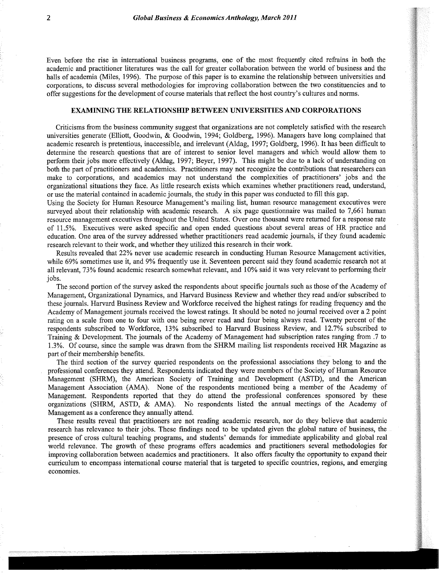Even before the rise in international business programs, one of the most frequently cited refrains in both the academic and practitioner literatures was the call for greater collaboration between the world of business and the halls of academia (Miles, 1996). The purpose of this paper is to examine the relationship between universities and corporations, to discuss several methodologies for improving collaboration between the two constituencies and to offer suggestions for the development of course materials that reflect the host country's cultures and norms.

#### EXAMINING THE RELATIONSHIP BETWEEN UNIVERSITIES AND CORPORATIONS

Criticisms from the business community suggest that organizations are not completely satisfied with the research universities generate (Elliott, Goodwin, & Goodwin, 1994; Goldberg, 1996). Managers have long complained that academic research is pretentious, inaccessible, and irrelevant (Aldag, 1997; Goldberg, 1996). It has been difficult to determine the research questions that are of interest to senior level managers and which would allow them to perform their jobs more effectively (Aldag, 1997; Beyer, 1997). This might be due to a lack of understanding on both the part of practitioners and academics. Practitioners may not recognize the contributions that researchers can make to corporations, and academics may not understand the complexities of practitioners' jobs and the organizational situations they face. As little research exists which examines whether practitioners read, understand, or use the material contained in academic journals, the study in this paper was conducted to fill this gap.

Using the Society for Human Resource Management's mailing list, human resource management executives were surveyed about their relationship with academic research. A six page questionnaire was mailed to 7,661 human resource management executives throughout the United States. Over one thousand were returned for a response rate of 11.5%. Executives were asked specific and open ended questions about several areas of HR practice and education. One area of the survey addressed whether practitioners read academic journals, if they found academic research relevant to their work, and whether they utilized this research in their work.

Results revealed that 22% never use academic research in conducting Human Resource Management activities, while 69% sometimes use it, and 9% frequently use it. Seventeen percent said they found academic research not at all relevant, 73% found academic research somewhat relevant, and 10% said it was very relevant to performing their jobs.

The second portion of the survey asked the respondents about specific journals such as those of the Academy of Management, Organizational Dynamics, and Harvard Business Review and whether they read and/or subscribed to these journals. Harvard Business Review and Workforce received the highest ratings for reading frequency and the Academy of Management journals received the lowest ratings. It should be noted no journal received over a 2 point rating on a scale from one to four with one being never read and four being always read. Twenty percent of the respondents subscribed to Workforce, 13% subscribed to Harvard Business Review, and 12.7% subscribed to Training & Development. The journals of the Academy of Management had subscription rates ranging from .7 to 1.3%. Of course, since the sample was drawn from the SHRM mailing list respondents received HR Magazine as part of their membership benefits.

The third section of the survey queried respondents on the professional associations they belong to and the professional conferences they attend. Respondents indicated they were members of the Society of Human Resource Management (SHRM), the American Society of Training and Development (ASTD), and the American Management Association (AMA). None of the respondents mentioned being a member of the Academy of Management. Respondents reported that they do attend the professional conferences sponsored by these organizations (SHRM, ASTD, & AMA). No respondents listed the annual meetings of the Academy of Management as a conference they annually attend.

These results reveal that practitioners are not reading academic research, nor do they believe that academic research has relevance to their jobs. These findings need to be updated given the global nature of business, the presence of cross cultural teaching programs, and students' demands for immediate applicability and global real world relevance. The growth of these programs offers academics and practitioners several methodologies for improving collaboration between academics and practitioners. It also offers faculty the opportunity to expand their curriculum to encompass international course material that is targeted to specific countries, regions, and emerging economies.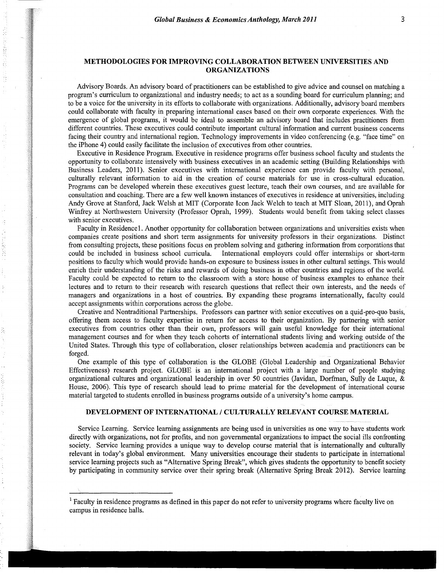#### METHODOLOGIES FOR IMPROVING COLLABORATION BETWEEN UNIVERSITIES AND ORGANIZATIONS

Advisory Boards. An advisory board of practitioners can be established to give advice and counsel on matching a program's curriculum to organizational and industry needs; to act as a sounding board for curriculum planning; and to be a voice for the university in its efforts to collaborate with organizations. Additionally, advisory board members could collaborate with faculty in preparing international cases based on their own corporate experiences. With the emergence of global programs, it would be ideal to assemble an advisory board that includes practitioners from different countries. These executives could contribute important cultural information and current business concerns facing their country and international region. Technology improvements in video conferencing (e.g. "face time" on the iPhone 4) could easily facilitate the inclusion of executives from other countries.

Executive in Residence Program. Executive in residence programs offer business school faculty and students the opportunity to collaborate intensively with business executives in an academic setting (Building Relationships with Business Leaders, 2011). Senior executives with international experience can provide faculty with personal, culturally relevant information to aid in the creation of course materials for use in cross-cultural education. Programs can be developed wherein these executives guest lecture, teach their own courses, and are available for consultation and coaching. There are a few well known instances of executives in residence at universities, including Andy Grove at Stanford, Jack Welsh at MIT (Corporate Icon Jack Welch to teach at MIT Sloan, 2011), and Oprah Winfrey at Northwestern University (Professor Oprah, 1999). Students would benefit from taking select classes with senior executives.

Faculty in Residencel. Another opportunity for collaboration between organizations and universities exists when companies create positions and short term assignments for university professors in their organizations. Distinct from consulting projects, these positions focus on problem solving and gathering information from corporations that could be included in business school curricula. International employers could offer internships or short-t International employers could offer internships or short-term positions to faculty which would provide hands-on exposure to business issues in other cultural settings. This would enrich their understanding of the risks and rewards of doing business in other countries and regions of the world. Faculty could be expected to return to the classroom with a store house of business examples to enhance their lectures and to return to their research with research questions that reflect their own interests, and the needs of managers and organizations in a host of countries. By expanding these programs internationally, faculty could accept assignments within corporations across the globe.

Creative and Nontraditional Partnerships. Professors can partner with senior executives on a quid-pro-quo basis, offering them access to faculty expertise in return for access to their organization. By partnering with senior executives from countries other than their own, professors will gain useful knowledge for their international management courses and for when they teach cohorts of international students living and working outside of the United States. Through this type of collaboration, closer relationships between academia and practitioners can be forged.

One example of this type of collaboration is the GLOBE (Global Leadership and Organizational Behavior Effectiveness) research project. GLOBE is an international project with a large number of people studying organizational cultures and organizational leadership in over 50 countries (Javidan, Dorfman, Sully de Luque, & House, 2006). This type of research should lead to prime material for the development of international course material targeted to students enrolled in business programs outside ofa university's home campus.

#### DEVELOPMENT OF INTERNATIONAL *I* CULTURALLY RELEVANT COURSE MATERIAL

Service Leaming. Service learning assignments are being used in universities as one way to have students work directly with organizations, not for profits, and non governmental organizations to impact the social ills confronting society. Service learning provides a unique way to develop course material that is internationally and culturally relevant in today's global environment. Many universities encourage their students to participate in international service learning projects such as "Alternative Spring Break", which gives students the opportunity to benefit society by participating in community service over their spring break (Alternative Spring Break 2012). Service learning

 $<sup>1</sup>$  Faculty in residence programs as defined in this paper do not refer to university programs where faculty live on</sup> campus in residence halls.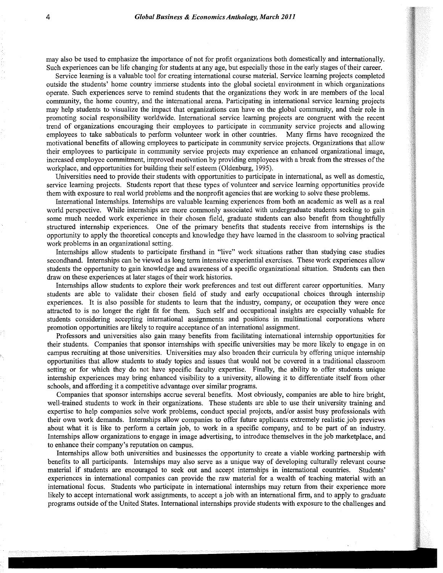may also be used to emphasize the importance of not for profit organizations both domestically and internationally. Such experiences can be life changing for students at any age, but especially those in the early stages of their career.

Service learning is a valuable tool for creating international course material. Service learning projects completed outside the students' home country immerse students into the global societal environment in which organizations operate. Such experiences serve to remind students that the organizations they work in are members of the local community, the home country, and the international arena. Participating in international service learning projects may help students to visualize the impact that organizations can have on the global community, and their role in promoting social responsibility worldwide. International service learning projects are congruent with the recent trend of organizations encouraging their employees to participate in community service projects and allowing employees to take sabbaticals to perform volunteer work in other countries. Many firms have recognized the motivational benefits of allowing employees to participate in community service projects. Organizations that allow their employees to participate in community service projects may experience an enhanced organizational image, increased employee commitment, improved motivation by providing employees with a break from the stresses of the workplace, and opportunities for building their self esteem (Oldenburg, 1995).

Universities need to provide their students with opportunities to participate in international, as well as domestic, service learning projects. Students report that these types of volunteer and service learning opportunities provide them with exposure to real world problems and the nonprofit agencies that are working to solve these problems.

International Internships. Internships are valuable learning experiences from both an academic as well as a real world perspective. While internships are more commonly associated with undergraduate students seeking to gain some much needed work experience in their chosen field, graduate students can also benefit from thoughtfully structured internship experiences. One of the primary benefits that students receive from internships is the opportunity to apply the theoretical concepts and knowledge they have learned in the classroom to solving practical work problems in an organizational setting.

Internships allow students to participate firsthand in "live" work situations rather than studying case studies secondhand. Internships can be viewed as long term intensive experiential exercises. These work experiences allow students the opportunity to gain knowledge and awareness of a specific organizational situation. Students can then draw on these experiences at later stages of their work histories.

Internships allow students to explore their work preferences and test out different career opportunities. Many students are able to validate their chosen field of study and early occupational choices through internship experiences. It is also possible for students to learn that the industry, company, or occupation they were once attracted to is no longer the right fit for them. Such self and occupational insights are especially valuable for students considering accepting international assignments and positions in multinational corporations where promotion opportunities are likely to require acceptance of an international assignment.

Professors and universities also gain many benefits from facilitating international internship opportunities for their students. Companies that sponsor internships with specific universities may be more likely to engage in on campus recruiting at those universities. Universities may also broaden their curricula by offering unique internship opportunities that allow students to study topics and issues that would not be covered in a traditional classroom setting or for which they do not have specific faculty expertise. Finally, the ability to offer students unique internship experiences may bring enhanced visibility to a university, allowing it to differentiate itself from other schools, and affording it a competitive advantage over similar programs.

Companies that sponsor internships accrue several benefits. Most obviously, companies are able to hire bright, well-trained students to work in their organizations. These students are able to use their university training and expertise to help companies solve work problems, conduct special projects, and/or assist busy professionals with their own work demands. Internships allow companies to offer future applicants extremely realistic job previews about what it is like to perform a certain job, to work in a specific company, and to be part of an industry. Internships allow organizations to engage in image advertising, to introduce themselves in the job marketplace, and to enhance their company's reputation on campus.

Internships allow both universities and businesses the opportunity to create a viable working partnership with benefits to all participants. Internships may also serve as a unique way of developing culturally relevant course material if students are encouraged to seek out and accept internships in international countries. Students' experiences in international companies can provide the raw material for a wealth of teaching material with an international focus. Students who participate in international internships may return from their experience more likely to accept international work assignments, to accept a job with an international firm, and to apply to graduate programs outside of the United States. International internships provide students with exposure to the challenges and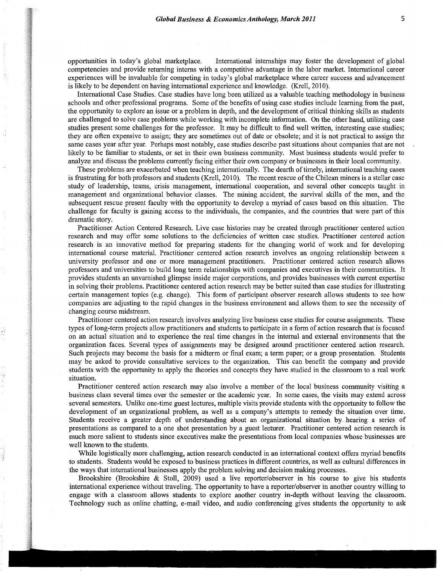opportunities in today's global marketplace. International internships may foster the development of global competencies and provide returning interns with a competitive advantage in the labor market. International career experiences will be invaluable for competing in today's global marketplace where career success and advancement is likely to be dependent on having international experience and knowledge. (Krell, 2010).

~1 I I I I *:;* 

·~ ~ ~ **INSTALACTION** <sup>~</sup>@ *i*  i~ j

~ **INSPERINGER** -~ ::~ -11 --~ **RUBBACK ROCKER** 

~ I <sup>W</sup>'.: l'\ *-J::*  i **發** *§!*   $\mathbb{R}^2$ ;;) it  $\frac{1}{2}$  $\frac{\partial \mathbf{G}}{\partial \mathbf{J}}$ ~ ~ ia antonimata<br>I ~

-~ ~ ~ yj  $\frac{3}{2}$ \* -I Igebieden

:I **INANGKA**  $\mathbb{R}^2$ ~ ER COMPARATION I **ISSUED** -~ §j :J **Internet** ~ ~ # **William** i i i India and India and India<br>I India and India and India and India and India and India and India and India an

In the company of the company of the company of the company of the company of the company of the company of the company of the company of the company of the company of the company of the company of the company of the compa • 1 ja politika (m. 1943)<br>1940 - Paris Bartharia, politika (m. 1944)<br>1940 - Paris Bartharia, politika (m. 1944)

;

International Case Studies. Case studies have long been utilized as a valuable teaching methodology in business schools and other professional programs. Some of the benefits of using case studies include learning from the past, the opportunity to explore an issue or a problem in depth, and the development of critical thinking skills as students are challenged to solve case problems while working with incomplete information. On the other hand, utilizing case studies present some challenges for the professor. It may be difficult to find well written, interesting case studies; they are often expensive to assign; they are sometimes out of date or obsolete; and it is not practical to assign the same cases year after year. Perhaps most notably, case studies describe past situations about companies that are not likely to be familiar to students, or set in their own business community. Most business students would prefer to analyze and discuss the problems currently facing either their own company or businesses in their local community.

These problems are exacerbated when teaching internationally. The dearth of timely, international teaching cases is frustrating for both professors and students (Krell, 2010). The recent rescue of the Chilean miners is a stellar case study of leadership, teams, crisis management, international cooperation, and several other concepts taught in management and organizational behavior classes. The mining accident, the survival skills of the men, and the subsequent rescue present faculty with the opportunity to develop a myriad of cases based on this situation. The challenge for faculty is gaining access to the individuals, the companies, and the countries that were part of this dramatic story.

Practitioner Action Centered Research. Live case histories may be created through practitioner centered action research and may offer some solutions to the deficiencies of written case studies. Practitioner centered action research is an innovative method for preparing students for the changing world of work and for developing international course material. Practitioner centered action research involves an ongoing relationship between a university professor and one or more management practitioners. Practitioner centered action research allows professors and universities to build long term relationships with companies and executives in their communities. It provides students an unvarnished glimpse inside major corporations, and provides businesses with current expertise in solving their problems. Practitioner centered action research may be better suited than case studies for illustrating certain management topics (e.g. change). This form of participant observer research allows students to see how companies are adjusting to the rapid changes in the business environment and allows them to see the necessity of changing course midstream.

Practitioner centered action research involves analyzing live business case studies for course assignments. These types of long-term projects allow practitioners and students to participate in a form of action research that is focused on an actual situation and to experience the real time changes in the internal and external environments that the organization faces. Several types of assignments may be designed around practitioner centered action research. Such projects may become the basis for a midterm or final exam; a term paper; or a group presentation. Students may be asked to provide consultative services to the organization. This can benefit the company and provide students with the opportunity to apply the theories and concepts they have studied in the classroom to a real work situation.

Practitioner centered action research may also involve a member of the local business community visiting a business class several times over the semester or the academic year. In some cases, the visits may extend across several semesters. Unlike one-time guest lectures, multiple visits provide students with the opportunity to follow the development of an organizational problem, as well as a company's attempts to remedy the situation over time. Students receive a greater depth of understanding about an organizational situation by. hearing a series of presentations as compared to a one shot presentation by a guest lecturer. Practitioner centered action research is much more salient to students since executives make the presentations from local companies whose businesses are well known to the students.

While logistically more challenging, action research conducted in an international context offers myriad benefits to students. Students would be exposed to business practices in different countries, as well as cultural differences in the ways that international businesses apply the problem solving and decision making processes.

Brookshire (Brookshire & Stoll, 2009) used a live reporter/observer in his course to give his students international experience without traveling. The opportunity to have a reporter/observer in another country willing to engage with a classroom allows students to explore another country in-depth without leaving the classroom. Technology such as online chatting, e-mail video, and audio conferencing gives students the opportunity to ask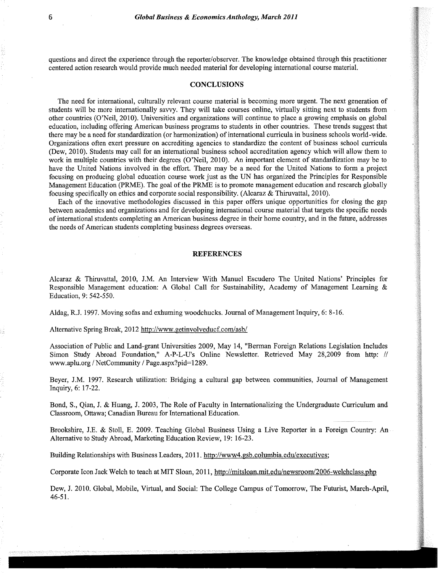questions and direct the experience through the reporter/observer. The knowledge obtained through this practitioner centered action research would provide much needed material for developing international course material.

#### **CONCLUSIONS**

The need for international, culturally relevant course material is becoming more urgent. The next generation of students will be more internationally savvy. They will take courses online, virtually sitting next to students from other countries (O'Neil, 2010). Universities and organizations will continue to place a growing emphasis on global education, including offering American business programs to students in other countries. These trends suggest that there may be a need for standardization (or harmonization) of international curricula in business schools world-wide. Organizations often exert pressure on accrediting agencies to standardize the content of business school curricula (Dew, 2010). Students may call for an international business school accreditation agency which will allow them to work in multiple countries with their degrees (O'Neil, 2010). An important element of standardization may be to have the United Nations involved in the effort. There may be a need for the United Nations to form a project focusing on producing global education course work just as the UN has organized the Principles for Responsible Management Education (PRME). The goal of the PRME is to promote management education and research globally focusing specifically on ethics and corporate social responsibility. (Alcaraz & Thiruvattal, 2010).

Each of the innovative methodologies discussed in this paper offers unique opportunities for closing the gap between academics and organizations and for developing international course material that targets the specific needs of international students completing an American business degree in their home country, and in the future, addresses the needs of American students completing business degrees overseas.

#### REFERENCES

Alcaraz & Thiruvattal, 2010, J.M. An Interview With Manuel Escudero The United Nations' Principles for Responsible Management education: A Global Call for Sustainability, Academy of Management Leaming & Education, 9: 542-550.

Aldag, R.J. 1997. Moving sofas and exhuming woodchucks. Journal of Management Inquiry, 6: 8-16.

Alternative Spring Break, 2012 http://www.getinvolveducf.com/asb/

Association of Public and Land-grant Universities 2009, May 14, "Berman Foreign Relations Legislation Includes Simon Study Abroad Foundation," A-P-L-U's Online Newsletter. Retrieved May 28,2009 from http: // www.aplu.org *I* NetCommunity *I* Page.aspx?pid= 1289.

Beyer, J.M. 1997. Research utilization: Bridging a cultural gap between communities, Journal of Management Inquiry, 6: 17-22.

Bond, S., Qian, J. & Huang, J. 2003, The Role of Faculty in Internationalizing the Undergraduate Curriculum and Classroom, Ottawa; Canadian Bureau for International Education.

Brookshire, J.E. & Stoll, E. 2009. Teaching Global Business Using a Live Reporter in a Foreign Country: An Alternative to Study Abroad, Marketing Education Review, 19: 16-23.

~'·~

Building Relationships with Business Leaders, 2011. http://www4.gsb.columbia.edu/executives;

Corporate Icon Jack Welch to teach at MIT Sloan, 2011, http://mitsloan.mit.edu/newsroom/2006-welchclass.php

Dew, J. 2010. Global, Mobile, Virtual, and Social: The College Campus of Tomorrow, The Futurist, March-April, 46-51.